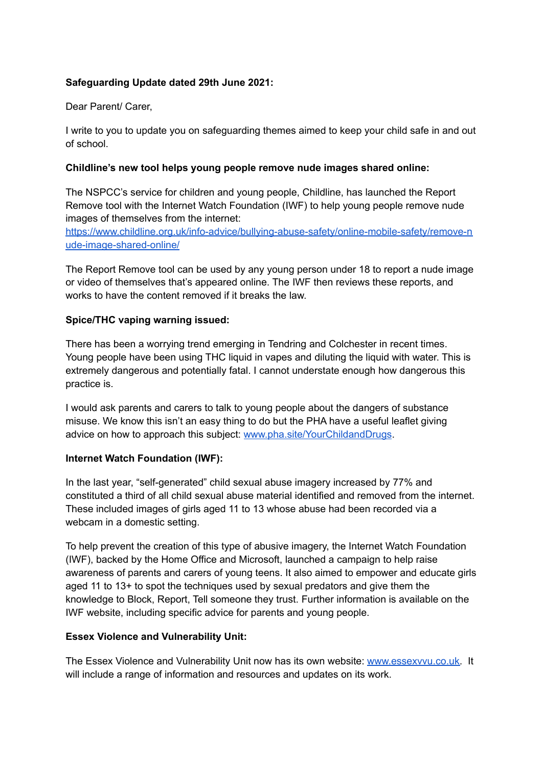# **Safeguarding Update dated 29th June 2021:**

Dear Parent/ Carer,

I write to you to update you on safeguarding themes aimed to keep your child safe in and out of school.

## **Childline's new tool helps young people remove nude images shared online:**

The NSPCC's service for children and young people, Childline, has launched the Report Remove tool with the Internet Watch Foundation (IWF) to help young people remove nude images of themselves from the internet[:](https://www.childline.org.uk/info-advice/bullying-abuse-safety/online-mobile-safety/remove-nude-image-shared-online/)

[https://www.childline.org.uk/info-advice/bullying-abuse-safety/online-mobile-safety/remove-n](https://www.childline.org.uk/info-advice/bullying-abuse-safety/online-mobile-safety/remove-nude-image-shared-online/) [ude-image-shared-online/](https://www.childline.org.uk/info-advice/bullying-abuse-safety/online-mobile-safety/remove-nude-image-shared-online/)

The Report Remove tool can be used by any young person under 18 to report a nude image or video of themselves that's appeared online. The IWF then reviews these reports, and works to have the content removed if it breaks the law.

## **Spice/THC vaping warning issued:**

There has been a worrying trend emerging in Tendring and Colchester in recent times. Young people have been using THC liquid in vapes and diluting the liquid with water. This is extremely dangerous and potentially fatal. I cannot understate enough how dangerous this practice is.

I would ask parents and carers to talk to young people about the dangers of substance misuse. We know this isn't an easy thing to do but the PHA have a useful leaflet giving advice on how to approach this subject: [www.pha.site/YourChildandDrugs](http://www.pha.site/YourChildandDrugs).

# **Internet Watch Foundation (IWF):**

In the last year, "self-generated" child sexual abuse imagery increased by 77% and constituted a third of all child sexual abuse material identified and removed from the internet. These included images of girls aged 11 to 13 whose abuse had been recorded via a webcam in a domestic setting.

To help prevent the creation of this type of abusive imagery, the Internet Watch Foundation (IWF), backed by the Home Office and Microsoft, launched a campaign to help raise awareness of parents and carers of young teens. It also aimed to empower and educate girls aged 11 to 13+ to spot the techniques used by sexual predators and give them the knowledge to Block, Report, Tell someone they trust. Further information is available on the IWF website, including specific advice for parents and young people.

#### **Essex Violence and Vulnerability Unit:**

The Essex Violence and Vulnerability Unit now has its own website: [www.essexvvu.co.uk.](http://www.essexvvu.co.uk) It will include a range of information and resources and updates on its work.